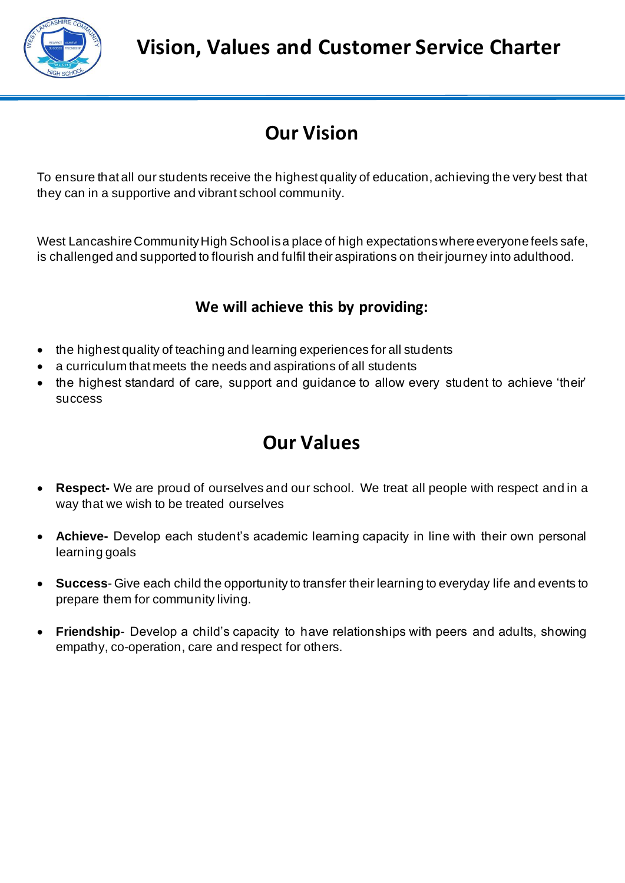

# **Our Vision**

To ensure that all our students receive the highest quality of education, achieving the very best that they can in a supportive and vibrant school community.

West Lancashire Community High School is a place of high expectations where everyone feels safe, is challenged and supported to flourish and fulfil their aspirations on their journey into adulthood.

### **We will achieve this by providing:**

- the highest quality of teaching and learning experiences for all students
- a curriculum that meets the needs and aspirations of all students
- the highest standard of care, support and guidance to allow every student to achieve 'their' success

### **Our Values**

- **Respect-** We are proud of ourselves and our school. We treat all people with respect and in a way that we wish to be treated ourselves
- **Achieve-** Develop each student's academic learning capacity in line with their own personal learning goals
- **Success** Give each child the opportunity to transfer their learning to everyday life and events to prepare them for community living.
- **Friendship** Develop a child's capacity to have relationships with peers and adults, showing empathy, co-operation, care and respect for others.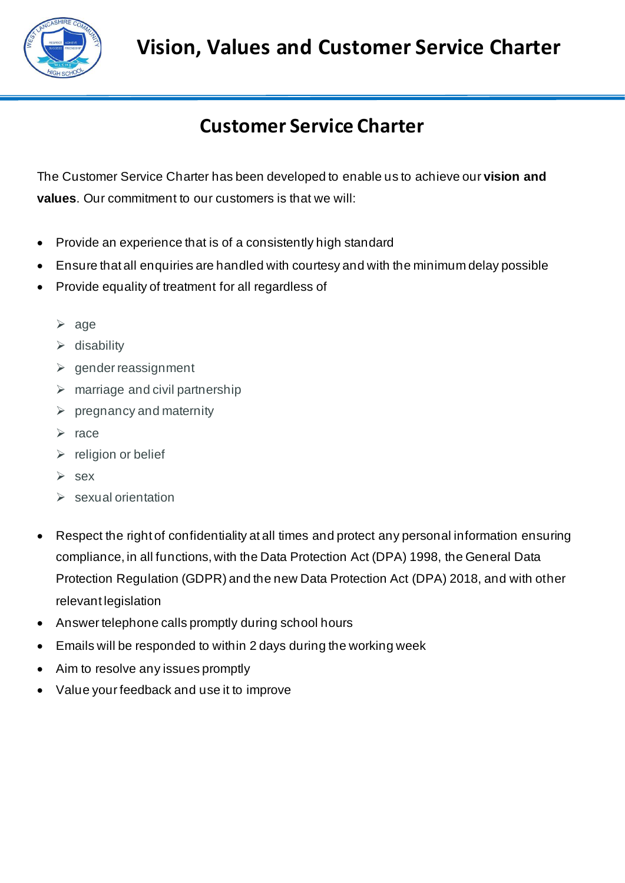

# **Vision, Values and Customer Service Charter**

# **Customer Service Charter**

The Customer Service Charter has been developed to enable us to achieve our **vision and values**. Our commitment to our customers is that we will:

- Provide an experience that is of a consistently high standard
- Ensure that all enquiries are handled with courtesy and with the minimum delay possible
- Provide equality of treatment for all regardless of
	- ➢ age
	- ➢ disability
	- ➢ gender reassignment
	- $\triangleright$  marriage and civil partnership
	- $\triangleright$  pregnancy and maternity
	- ➢ race
	- $\triangleright$  religion or belief
	- ➢ sex
	- $\triangleright$  sexual orientation
- Respect the right of confidentiality at all times and protect any personal information ensuring compliance, in all functions, with the Data Protection Act (DPA) 1998, the General Data Protection Regulation (GDPR) and the new Data Protection Act (DPA) 2018, and with other relevant legislation
- Answer telephone calls promptly during school hours
- Emails will be responded to within 2 days during the working week
- Aim to resolve any issues promptly
- Value your feedback and use it to improve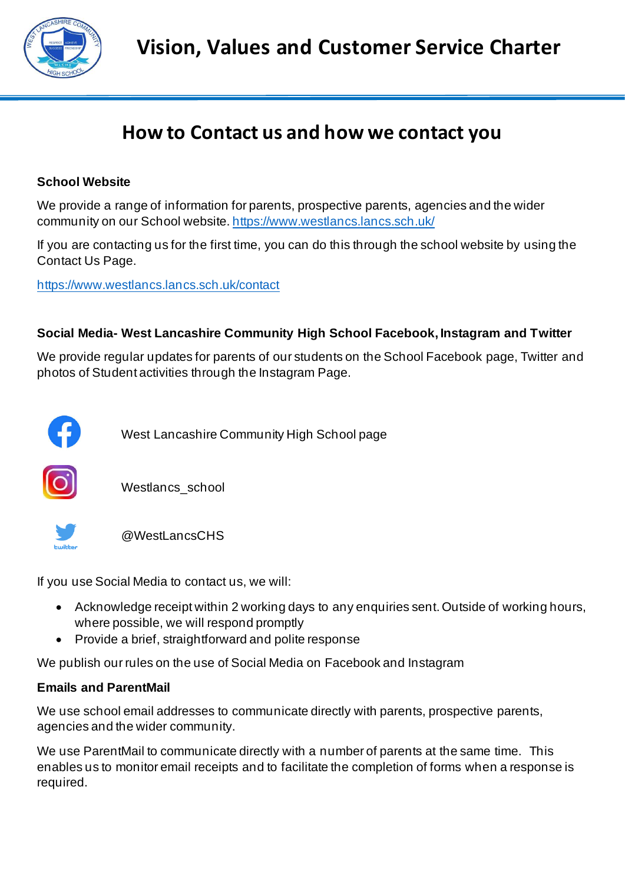

### **How to Contact us and how we contact you**

#### **School Website**

We provide a range of information for parents, prospective parents, agencies and the wider community on our School website[. https://www.westlancs.lancs.sch.uk/](https://www.westlancs.lancs.sch.uk/)

If you are contacting us for the first time, you can do this through the school website by using the Contact Us Page.

<https://www.westlancs.lancs.sch.uk/contact>

#### **Social Media- West Lancashire Community High School Facebook, Instagram and Twitter**

We provide regular updates for parents of our students on the School Facebook page, Twitter and photos of Student activities through the Instagram Page.



West Lancashire Community High School page



Westlancs\_school



@WestLancsCHS

If you use Social Media to contact us, we will:

- Acknowledge receipt within 2 working days to any enquiries sent. Outside of working hours, where possible, we will respond promptly
- Provide a brief, straightforward and polite response

We publish our rules on the use of Social Media on Facebook and Instagram

#### **Emails and ParentMail**

We use school email addresses to communicate directly with parents, prospective parents, agencies and the wider community.

We use ParentMail to communicate directly with a number of parents at the same time. This enables us to monitor email receipts and to facilitate the completion of forms when a response is required.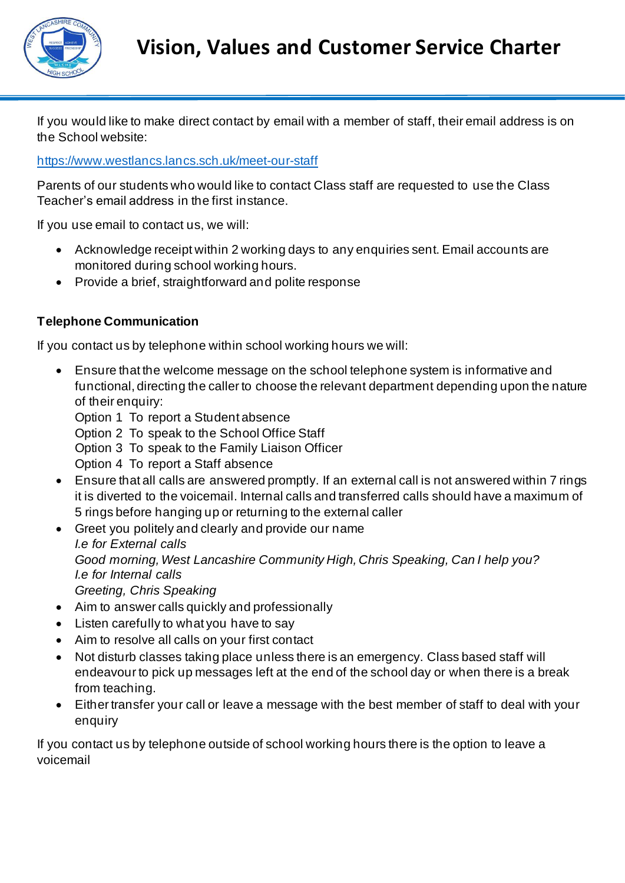

If you would like to make direct contact by email with a member of staff, their email address is on the School website:

<https://www.westlancs.lancs.sch.uk/meet-our-staff>

Parents of our students who would like to contact Class staff are requested to use the Class Teacher's email address in the first instance.

If you use email to contact us, we will:

- Acknowledge receipt within 2 working days to any enquiries sent. Email accounts are monitored during school working hours.
- Provide a brief, straightforward and polite response

#### **Telephone Communication**

If you contact us by telephone within school working hours we will:

- Ensure that the welcome message on the school telephone system is informative and functional, directing the caller to choose the relevant department depending upon the nature of their enquiry:
	- Option 1 To report a Student absence
	- Option 2 To speak to the School Office Staff
	- Option 3 To speak to the Family Liaison Officer
	- Option 4 To report a Staff absence
- Ensure that all calls are answered promptly. If an external call is not answered within 7 rings it is diverted to the voicemail. Internal calls and transferred calls should have a maximum of 5 rings before hanging up or returning to the external caller
- Greet you politely and clearly and provide our name *I.e for External calls Good morning, West Lancashire Community High, Chris Speaking, Can I help you? I.e for Internal calls Greeting, Chris Speaking*
- Aim to answer calls quickly and professionally
- Listen carefully to what you have to say
- Aim to resolve all calls on your first contact
- Not disturb classes taking place unless there is an emergency. Class based staff will endeavour to pick up messages left at the end of the school day or when there is a break from teaching.
- Either transfer your call or leave a message with the best member of staff to deal with your enquiry

If you contact us by telephone outside of school working hours there is the option to leave a voicemail